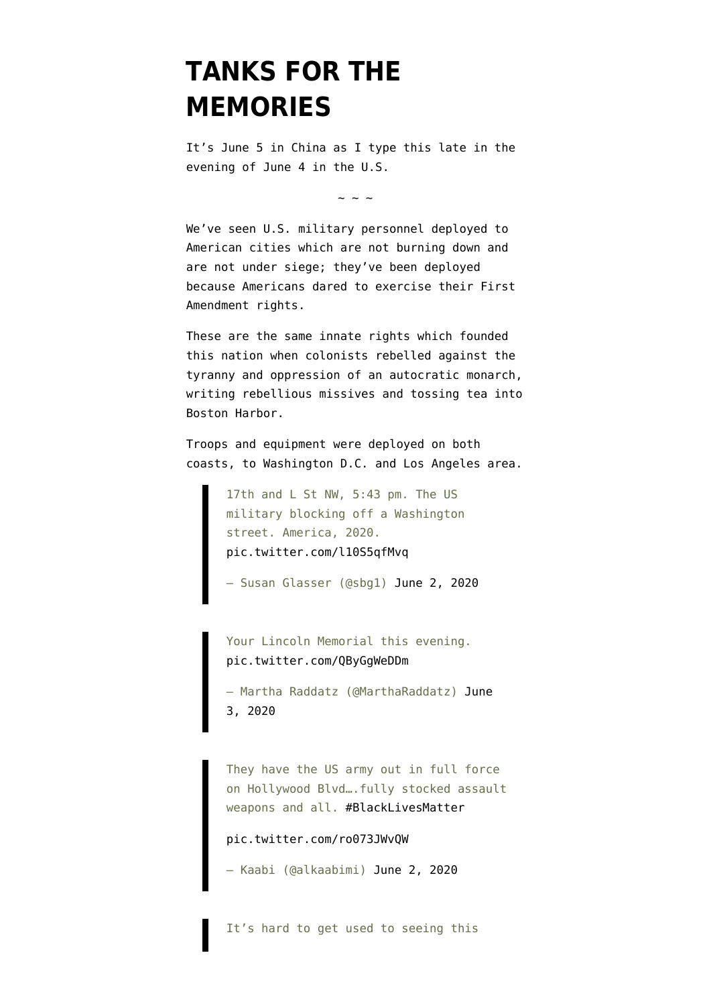## **[TANKS FOR THE](https://www.emptywheel.net/2020/06/05/tanks-for-the-memories/) [MEMORIES](https://www.emptywheel.net/2020/06/05/tanks-for-the-memories/)**

It's June 5 in China as I type this late in the evening of June 4 in the U.S.

 $\sim$  ~ ~

We've seen U.S. military personnel deployed to American cities which are not burning down and are not under siege; they've been deployed because Americans dared to exercise their First Amendment rights.

These are the same innate rights which founded this nation when colonists rebelled against the tyranny and oppression of an autocratic monarch, [writing rebellious missives](https://en.wikisource.org/wiki/Rules_By_Which_A_Great_Empire_May_Be_Reduced_To_A_Small_One) and [tossing tea](https://en.wikipedia.org/wiki/Boston_Tea_Party) into Boston Harbor.

Troops and equipment were deployed on both coasts, to Washington D.C. and Los Angeles area.

> 17th and L St NW, 5:43 pm. The US military blocking off a Washington street. America, 2020. [pic.twitter.com/l10S5qfMvq](https://t.co/l10S5qfMvq)

— Susan Glasser (@sbg1) [June 2, 2020](https://twitter.com/sbg1/status/1267935150668734464?ref_src=twsrc%5Etfw)

Your Lincoln Memorial this evening. [pic.twitter.com/QByGgWeDDm](https://t.co/QByGgWeDDm)

— Martha Raddatz (@MarthaRaddatz) [June](https://twitter.com/MarthaRaddatz/status/1267972382590984195?ref_src=twsrc%5Etfw) [3, 2020](https://twitter.com/MarthaRaddatz/status/1267972382590984195?ref_src=twsrc%5Etfw)

They have the US army out in full force on Hollywood Blvd….fully stocked assault weapons and all. [#BlackLivesMatter](https://twitter.com/hashtag/BlackLivesMatter?src=hash&ref_src=twsrc%5Etfw)

[pic.twitter.com/ro073JWvQW](https://t.co/ro073JWvQW)

— Kaabi (@alkaabimi) [June 2, 2020](https://twitter.com/alkaabimi/status/1267966217333149701?ref_src=twsrc%5Etfw)

It's hard to get used to seeing this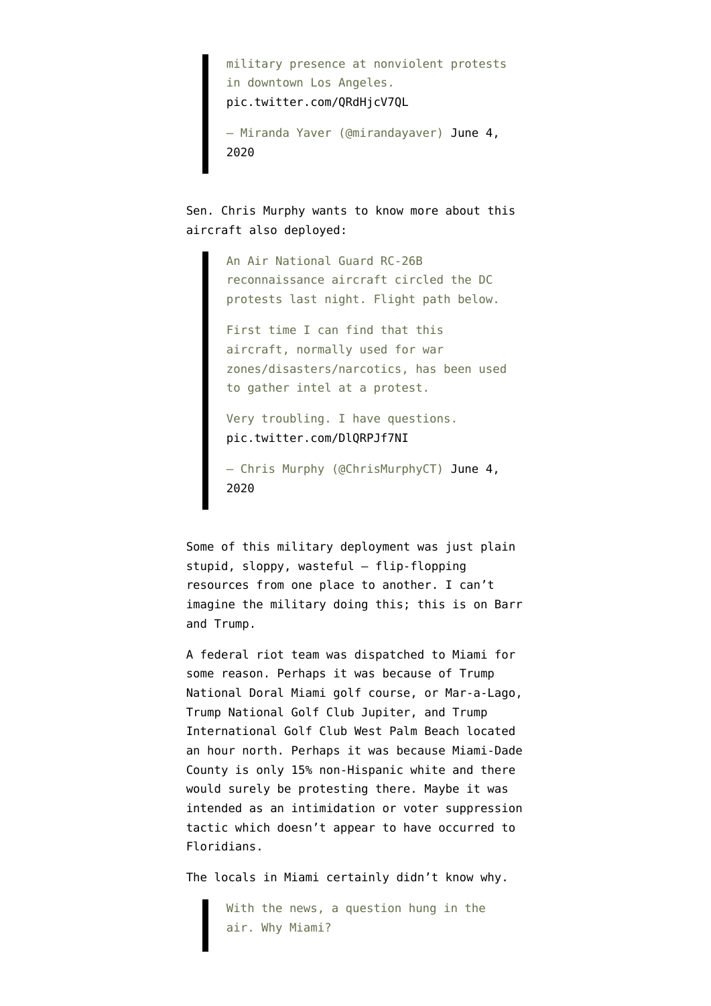military presence at nonviolent protests in downtown Los Angeles. [pic.twitter.com/QRdHjcV7QL](https://t.co/QRdHjcV7QL)

— Miranda Yaver (@mirandayaver) [June 4,](https://twitter.com/mirandayaver/status/1268385161302863872?ref_src=twsrc%5Etfw) [2020](https://twitter.com/mirandayaver/status/1268385161302863872?ref_src=twsrc%5Etfw)

Sen. Chris Murphy wants to know more about this aircraft also deployed:

> An Air National Guard RC-26B reconnaissance aircraft circled the DC protests last night. Flight path below.

First time I can find that this aircraft, normally used for war zones/disasters/narcotics, has been used to gather intel at a protest.

Very troubling. I have questions. [pic.twitter.com/DlQRPJf7NI](https://t.co/DlQRPJf7NI)

— Chris Murphy (@ChrisMurphyCT) [June 4,](https://twitter.com/ChrisMurphyCT/status/1268628684908498947?ref_src=twsrc%5Etfw) [2020](https://twitter.com/ChrisMurphyCT/status/1268628684908498947?ref_src=twsrc%5Etfw)

Some of this military deployment was just plain stupid, sloppy, wasteful — flip-flopping resources from one place to another. I can't imagine the military doing this; this is on Barr and Trump.

A federal riot team was dispatched to Miami for some reason. Perhaps it was because of Trump National Doral Miami golf course, or Mar-a-Lago, Trump National Golf Club Jupiter, and Trump International Golf Club West Palm Beach located an hour north. Perhaps it was because Miami-Dade County is only 15% non-Hispanic white and there would surely be protesting there. Maybe it was intended as an intimidation or voter suppression tactic which doesn't appear to have occurred to Floridians.

The locals in Miami certainly [didn't know why](https://www.wlrn.org/post/federal-riot-team-was-sent-miami-now-theyre-leaving-without-being-deployed).

With the news, a question hung in the air. Why Miami?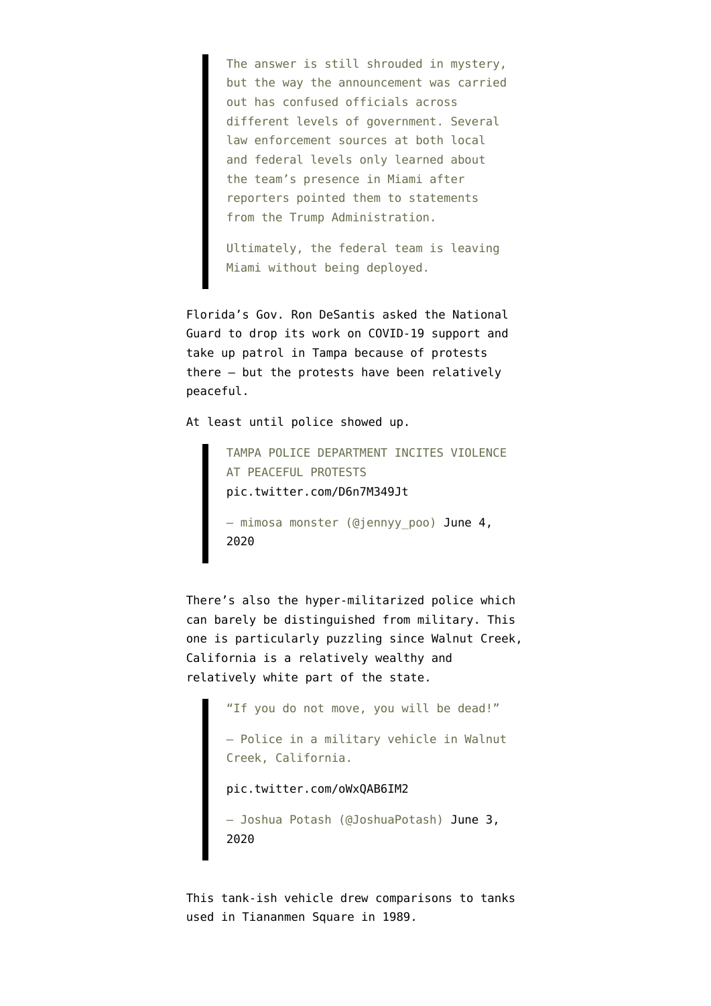The answer is still shrouded in mystery, but the way the announcement was carried out has confused officials across different levels of government. Several law enforcement sources at both local and federal levels only learned about the team's presence in Miami after reporters pointed them to statements from the Trump Administration.

Ultimately, the federal team is leaving Miami without being deployed.

Florida's Gov. Ron DeSantis asked the National Guard to drop its work on COVID-19 support and take up patrol in Tampa because of protests there — but the protests have been relatively peaceful.

At least until police showed up.

TAMPA POLICE DEPARTMENT INCITES VIOLENCE AT PEACEFUL PROTESTS [pic.twitter.com/D6n7M349Jt](https://t.co/D6n7M349Jt) — mimosa monster (@jennyy\_poo) [June 4,](https://twitter.com/jennyy_poo/status/1268674035405160453?ref_src=twsrc%5Etfw) [2020](https://twitter.com/jennyy_poo/status/1268674035405160453?ref_src=twsrc%5Etfw)

There's also the hyper-militarized police which can barely be distinguished from military. This one is particularly puzzling since Walnut Creek, California is a relatively wealthy and [relatively white](https://en.wikipedia.org/wiki/Walnut_Creek,_California#Demographics) part of the state.

> "If you do not move, you will be dead!" – Police in a military vehicle in Walnut Creek, California. [pic.twitter.com/oWxQAB6IM2](https://t.co/oWxQAB6IM2) — Joshua Potash (@JoshuaPotash) [June 3,](https://twitter.com/JoshuaPotash/status/1268095306274607104?ref_src=twsrc%5Etfw) [2020](https://twitter.com/JoshuaPotash/status/1268095306274607104?ref_src=twsrc%5Etfw)

This tank-ish vehicle drew comparisons to tanks used in Tiananmen Square in 1989.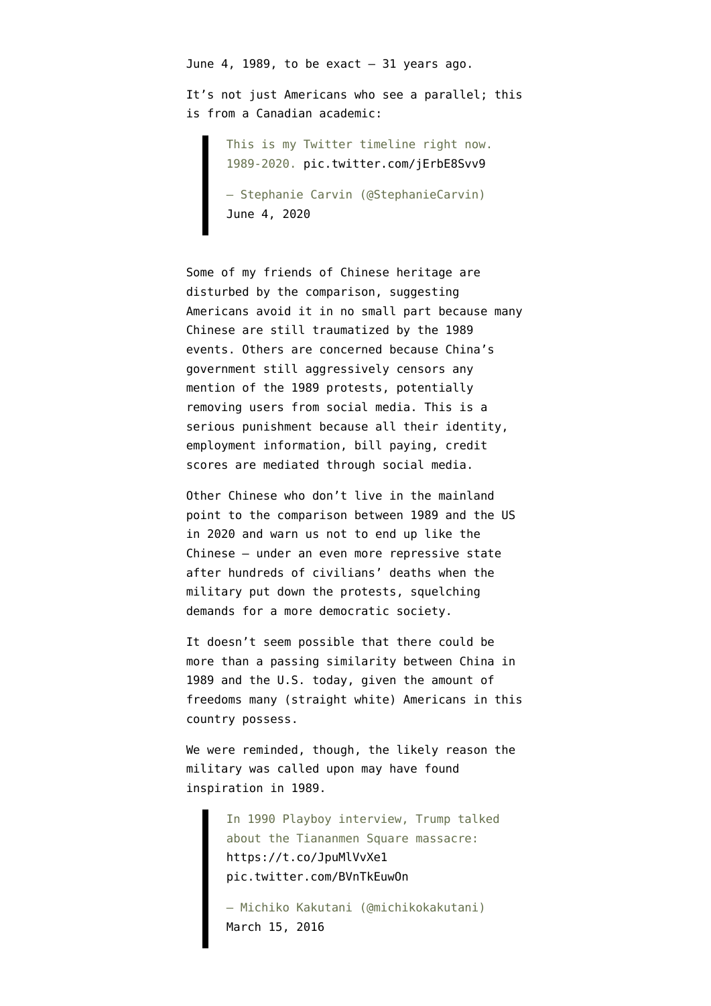June 4, 1989, to be exact  $-31$  years ago.

It's not just Americans who see a parallel; this is from a Canadian academic:

> This is my Twitter timeline right now. 1989-2020. [pic.twitter.com/jErbE8Svv9](https://t.co/jErbE8Svv9)

— Stephanie Carvin (@StephanieCarvin) [June 4, 2020](https://twitter.com/StephanieCarvin/status/1268385643891220481?ref_src=twsrc%5Etfw)

Some of my friends of Chinese heritage are disturbed by the comparison, suggesting Americans avoid it in no small part because many Chinese are still traumatized by the 1989 events. Others are concerned because China's government still aggressively censors any mention of the 1989 protests, potentially removing users from social media. This is a serious punishment because all their identity, employment information, bill paying, credit scores are mediated through social media.

Other Chinese who don't live in the mainland point to the comparison between 1989 and the US in 2020 and warn us not to end up like the Chinese — under an even more repressive state after hundreds of civilians' deaths when the military put down the protests, squelching demands for a more democratic society.

It doesn't seem possible that there could be more than a passing similarity between China in 1989 and the U.S. today, given the amount of freedoms many (straight white) Americans in this country possess.

We were reminded, though, the likely reason the military was called upon may have found inspiration in 1989.

> In 1990 Playboy interview, Trump talked about the Tiananmen Square massacre: <https://t.co/JpuMlVvXe1> [pic.twitter.com/BVnTkEuwOn](https://t.co/BVnTkEuwOn)

— Michiko Kakutani (@michikokakutani) [March 15, 2016](https://twitter.com/michikokakutani/status/709570919463780353?ref_src=twsrc%5Etfw)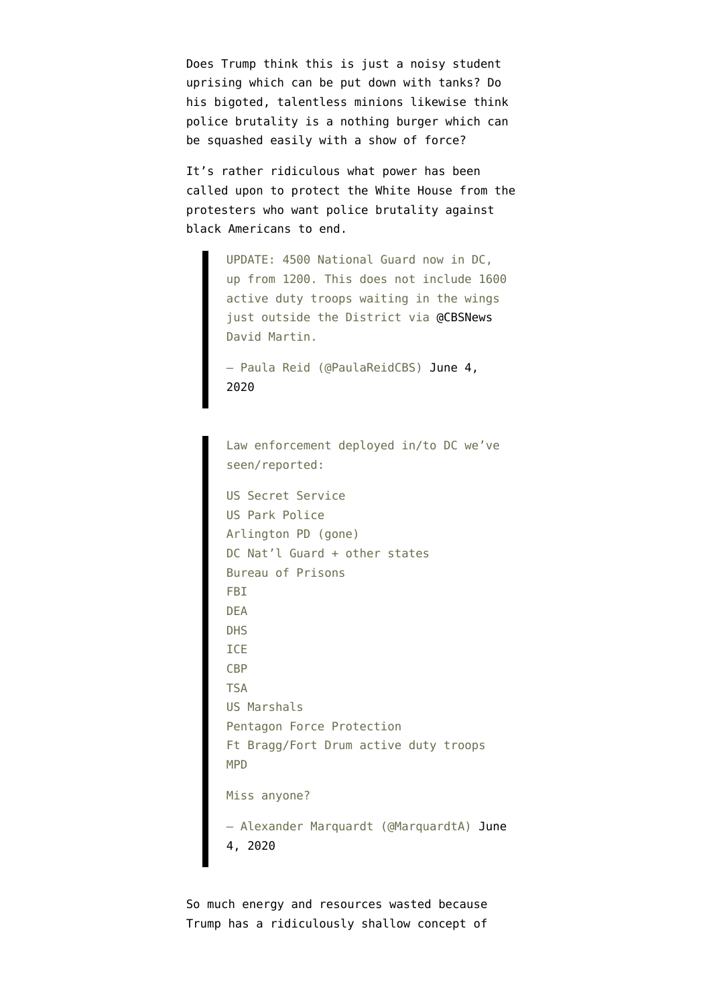Does Trump think this is just [a noisy student](https://www.businessinsider.com/trump-praised-china-tiananmen-foreshadowing-response-to-george-floyd-protests-2020-6?r=US&IR=T) [uprising which can be put down with tanks?](https://www.businessinsider.com/trump-praised-china-tiananmen-foreshadowing-response-to-george-floyd-protests-2020-6?r=US&IR=T) Do his bigoted, talentless minions likewise think police brutality is a nothing burger which can be squashed easily with a show of force?

It's rather ridiculous what power has been called upon to protect the White House from the protesters who want police brutality against black Americans to end.

> UPDATE: 4500 National Guard now in DC, up from 1200. This does not include 1600 active duty troops waiting in the wings just outside the District via [@CBSNews](https://twitter.com/CBSNews?ref_src=twsrc%5Etfw) David Martin.

— Paula Reid (@PaulaReidCBS) [June 4,](https://twitter.com/PaulaReidCBS/status/1268564567610843137?ref_src=twsrc%5Etfw) [2020](https://twitter.com/PaulaReidCBS/status/1268564567610843137?ref_src=twsrc%5Etfw)

Law enforcement deployed in/to DC we've seen/reported:

US Secret Service US Park Police Arlington PD (gone) DC Nat'l Guard + other states Bureau of Prisons FBI DEA DHS ICE CBP TSA US Marshals Pentagon Force Protection Ft Bragg/Fort Drum active duty troops MPD Miss anyone? — Alexander Marquardt (@MarquardtA) [June](https://twitter.com/MarquardtA/status/1268349405733761025?ref_src=twsrc%5Etfw) [4, 2020](https://twitter.com/MarquardtA/status/1268349405733761025?ref_src=twsrc%5Etfw)

So much energy and resources wasted because Trump has a ridiculously shallow concept of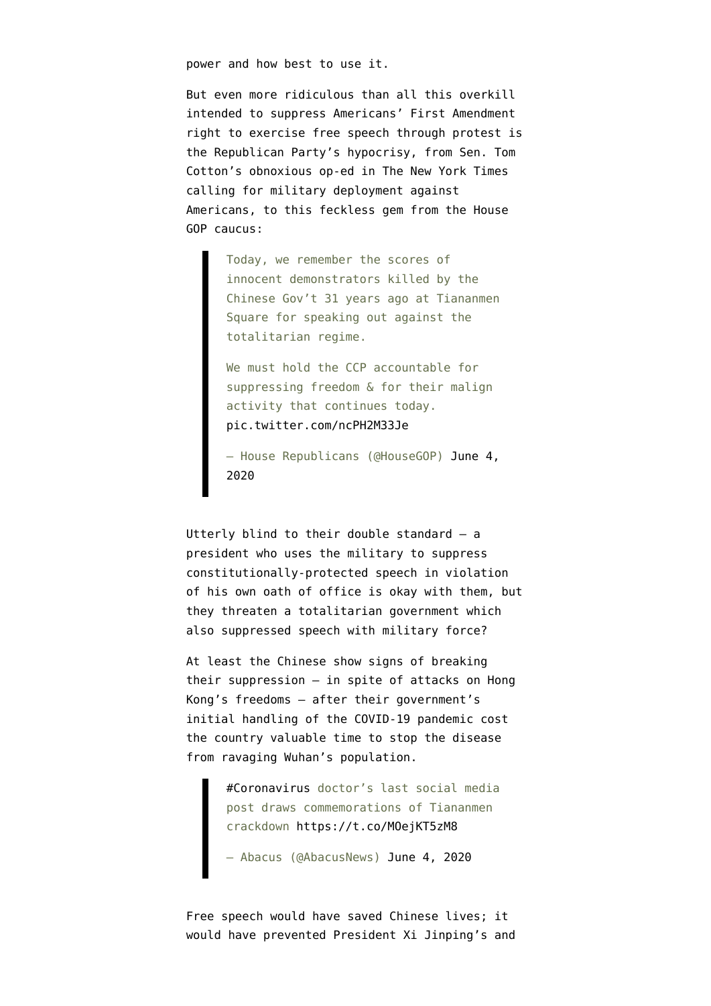power and how best to use it.

But even more ridiculous than all this overkill intended to suppress Americans' First Amendment right to exercise free speech through protest is the Republican Party's hypocrisy, from Sen. Tom Cotton's obnoxious op-ed in The New York Times calling for military deployment against Americans, to this feckless gem from the House GOP caucus:

> Today, we remember the scores of innocent demonstrators killed by the Chinese Gov't 31 years ago at Tiananmen Square for speaking out against the totalitarian regime.

We must hold the CCP accountable for suppressing freedom & for their malign activity that continues today. [pic.twitter.com/ncPH2M33Je](https://t.co/ncPH2M33Je)

— House Republicans (@HouseGOP) [June 4,](https://twitter.com/HouseGOP/status/1268603674822979585?ref_src=twsrc%5Etfw) [2020](https://twitter.com/HouseGOP/status/1268603674822979585?ref_src=twsrc%5Etfw)

Utterly blind to their double standard — a president who uses the military to suppress constitutionally-protected speech in violation of his own oath of office is okay with them, but they threaten a totalitarian government which also suppressed speech with military force?

At least the Chinese [show signs of breaking](https://www.abacusnews.com/culture/coronavirus-doctors-last-social-media-post-draws-commemorations-tiananmen-crackdown/article/3087546) [their suppression](https://www.abacusnews.com/culture/coronavirus-doctors-last-social-media-post-draws-commemorations-tiananmen-crackdown/article/3087546) — in spite of attacks on Hong Kong's freedoms — after their government's initial handling of the COVID-19 pandemic cost the country valuable time to stop the disease from ravaging Wuhan's population.

> [#Coronavirus](https://twitter.com/hashtag/Coronavirus?src=hash&ref_src=twsrc%5Etfw) doctor's last social media post draws commemorations of Tiananmen crackdown<https://t.co/MOejKT5zM8>

- Abacus (@AbacusNews) [June 4, 2020](https://twitter.com/AbacusNews/status/1268535555874308100?ref_src=twsrc%5Etfw)

Free speech would have saved Chinese lives; it would have prevented President Xi Jinping's and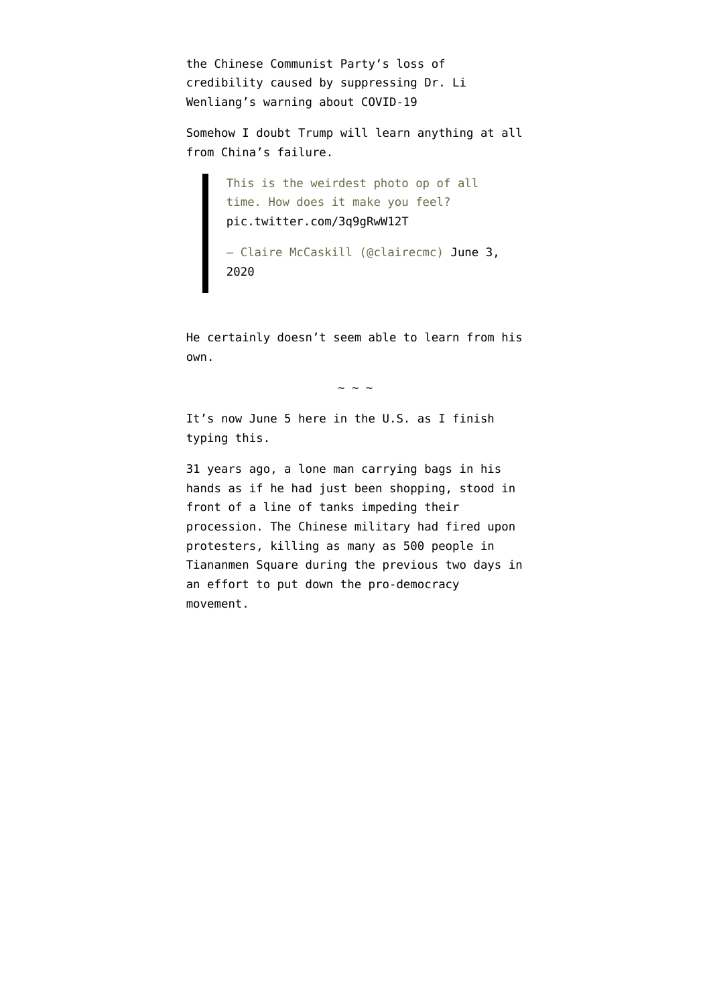the [Chinese Communist Party](https://en.wikipedia.org/wiki/Communist_Party_of_China)'s loss of credibility caused by suppressing Dr. Li Wenliang's warning about COVID-19

Somehow I doubt Trump will learn anything at all from China's failure.

> This is the weirdest photo op of all time. How does it make you feel? [pic.twitter.com/3q9gRwW12T](https://t.co/3q9gRwW12T)

— Claire McCaskill (@clairecmc) [June 3,](https://twitter.com/clairecmc/status/1268227282390462465?ref_src=twsrc%5Etfw) [2020](https://twitter.com/clairecmc/status/1268227282390462465?ref_src=twsrc%5Etfw)

He certainly doesn't seem able to learn from his own.

 $\sim$   $\sim$   $\sim$ 

It's now June 5 here in the U.S. as I finish typing this.

31 years ago, a lone man carrying bags in his hands as if he had just been shopping, stood in front of a line of tanks impeding their procession. The Chinese military had fired upon protesters, killing as many as 500 people in Tiananmen Square during the previous two days in an effort to put down the pro-democracy movement.